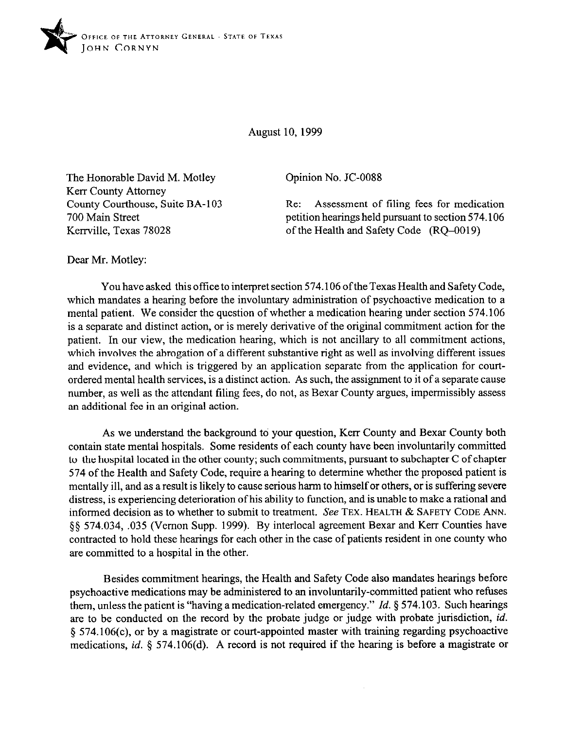

August 10, 1999

The Honorable David M. Motley Kerr County Attorney County Courthouse, Suite BA-103 700 Main Street Kerrville, Texas 78028

Opinion No. JC-0088

Re: Assessment of filing fees for medication petition hearings held pursuant to section 574.106 of the Health and Safety Code (RQ-0019)

Dear Mr. Motley:

You have asked this office to interpret section 574.106 ofthe Texas Health and Safety Code, which mandates a hearing before the involuntary administration of psychoactive medication to a mental patient. We consider the question of whether a medication hearing under section 574.106 is a separate and distinct action, or is merely derivative of the original commitment action for the patient. In our view, the medication hearing, which is not ancillary to all commitment actions, which involves the abrogation of a different substantive right as well as involving different issues and evidence, and which is triggered by an application separate from the application for courtordered mental health services, is a distinct action. As such, the assignment to it of a separate cause number, as well as the attendant filing fees, do not, as Bexar County argues, impermissibly assess an additional fee in an original action.

As we understand the background to your question, Kerr County and Bexar County both contain state mental hospitals. Some residents of each county have been involuntarily committed to the hospital located in the other county; such commitments, pursuant to subchapter C of chapter 574 of the Health and Safety Code, require a hearing to determine whether the proposed patient is mentally ill, and as a result is likely to cause serious harm to himself or others, or is suffering severe distress, is experiencing deterioration of his ability to function, and is unable to make a rational and informed decision as to whether to submit to treatment. See **TEX. HEALTH & SAFETY CODE ANN.**  \$5 574.034, ,035 (Vernon Supp. 1999). By interlocal agreement Bexar and Kerr Counties have contracted to hold these hearings for each other in the case of patients resident in one county who are committed to a hospital in the other.

Besides commitment hearings, the Health and Safety Code also mandates hearings before psychoactive medications may be administered to an involuntarily-committed patient who refuses them, unless the patient is "having a medication-related emergency." *Id. \$574.103.* Such hearings are to be conducted on the record by the probate judge or judge with probate jurisdiction, *id.*  5 574.106(c), or by a magistrate or court-appointed master with training regarding psychoactive medications, *id.* 5 574.106(d). A record is not required if the hearing is before a magistrate or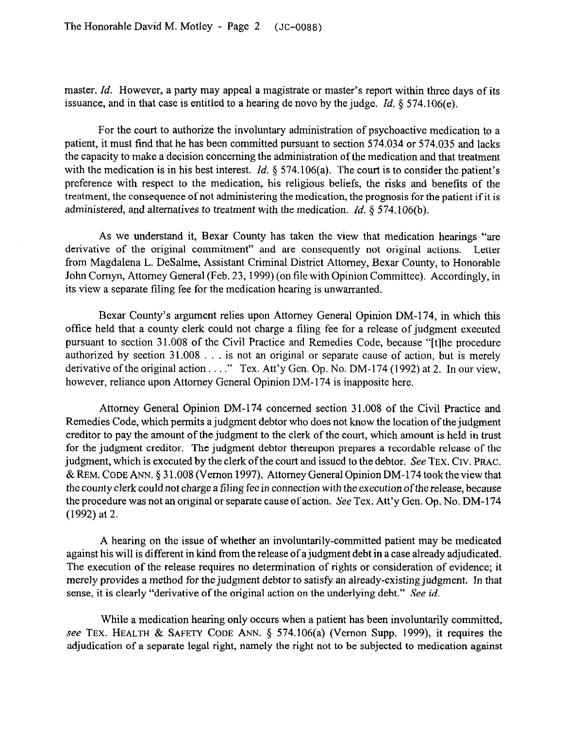master. *Id.* However, a party may appeal a magistrate or master's report within three days of its issuance, and in that case is entitled to a hearing de novo by the judge. *Id. 5* 574.106(e).

For the court to authorize the involuntary administration of psychoactive medication to a patient, it must find that he has been committed pursuant to section 574.034 or 574.035 and lacks the capacity to make a decision concerning the administration of the medication and that treatment with the medication is in his best interest. *Id.* § 574.106(a). The court is to consider the patient's preference with respect to the medication, his religious beliefs, the risks and benefits of the treatment, the consequence of not administering the medication, the prognosis for the patient if it is administered, and alternatives to treatment with the medication. *Id. 8 574.106(b).* 

As we understand it, Bexar County has taken the view that medication hearings "are derivative of the original commitment" and are consequently not original actions. Letter from Magdalena L. DeSalme, Assistant Criminal District Attorney, Bexar County, to Honorable John Comyn, Attorney General (Feb. 23,1999) (on tile with Opinion Committee). Accordingly, in its view a separate tiling fee for the medication hearing is unwarranted.

Bexar County's argument relies upon Attorney General Opinion DM-174, in which this office held that a county clerk could not charge a tiling fee for a release of judgment executed pursuant to section 31.008 of the Civil Practice and Remedies Code, because "[tlhe procedure authorized by section  $31.008...$  is not an original or separate cause of action, but is merely derivative of the original action  $\ldots$ ." Tex. Att'y Gen. Op. No. DM-174 (1992) at 2. In our view, however, reliance upon Attorney General Opinion DM-174 is inapposite here.

Attorney General Opinion DM-174 concerned section 31.008 of the Civil Practice and Remedies Code, which permits a judgment debtor who does not know the location of the judgment creditor to pay the amount of the judgment to the clerk of the court, which amount is held in trust for the judgment creditor. The judgment debtor thereupon prepares a recordable release of the judgment, which is executed by the clerk of the court and issued to the debtor. See **TEX. CIV. PRAC.**  &REM. **CODE ANN.** 5 3 1.008 (Vernon 1997). Attorney General Opinion DM-174 took the view that the county clerk *could* not charge a tiling fee in connection with the execution of the release, because the procedure was not an original or separate cause of action. See Tex. Att'y Gen. Op. No. DM-174 (1992) at 2.

A hearing on the issue of whether an involuntarily-committed patient may be medicated against his will is different in kind from the release of a judgment debt in a case already adjudicated. The execution of the release requires no determination of rights or consideration of evidence; it merely provides a method for the judgment debtor to satisfy an already-existing judgment. In that sense, it is clearly "derivative of the original action on the underlying debt." See id.

While a medication hearing only occurs when a patient has been involuntarily committed, see TEX. HEALTH & SAFETY CODE ANN. § 574.106(a) (Vernon Supp. 1999), it requires the adjudication of a separate legal right, namely the right not to be subjected to medication against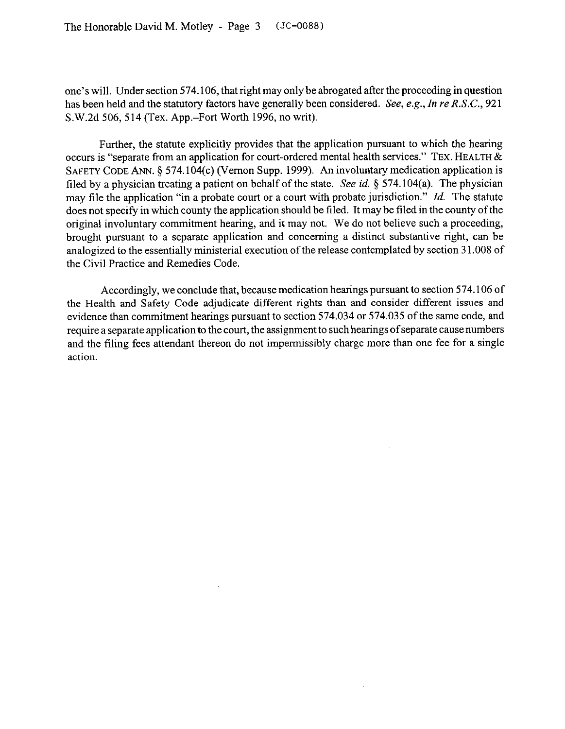one's will. Under section 574.106, that right may only be abrogated after the proceeding in question has been held and the statutory factors have generally been considered. See, e.g., In re *R.S.C.,* 921 S.W.2d 506,514 (Tex. App.-Fort Worth 1996, no writ).

Further, the statute explicitly provides that the application pursuant to which the hearing occurs is "separate from an application for court-ordered mental health services." **TEX. HEALTH & SAFETY CODE** ANN. 5 574.104(c) (Vernon Supp. 1999). An involuntary medication application is tiled by a physician treating a patient on behalf of the state. See *id.* 5 574.104(a). The physician may tile the application "in a probate court or a court with probate jurisdiction." *Id.* The statute does not specify in which county the application should be filed. It may be filed in the county of the original involuntary commitment hearing, and it may not. We do not believe such a proceeding, brought pursuant to a separate application and concerning a distinct substantive right, can be analogized to the essentially ministerial execution of the release contemplated by section 3 1.008 of the Civil Practice and Remedies Code.

Accordingly, we conclude that, because medication hearings pursuant to section 574.106 of the Health and Safety Code adjudicate different rights than and consider different issues and evidence than commitment hearings pursuant to section 574.034 or 574.035 of the same code, and require a separate application to the court, the assignment to such hearings of separate cause numbers and the tiling fees attendant thereon do not impermissibly charge more than one fee for a single action.